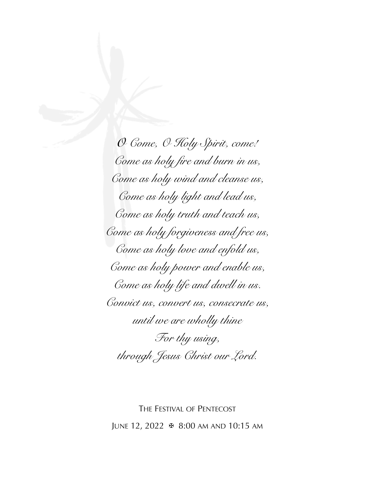*O Come, O Holy Spirit, come! Come as holy fire and burn in us, Come as holy wind and cleanse us, Come as holy light and lead us, Come as holy truth and teach us, Come as holy forgiveness and free us, Come as holy love and enfold us, Come as holy power and enable us, Come as holy life and dwell in us. Convict us, convert us, consecrate us, until we are wholly thine For thy using, through Jesus Christ our Lord.* 

THE FESTIVAL OF PENTECOST JUNE 12, 2022 ✠ 8:00 AM AND 10:15 AM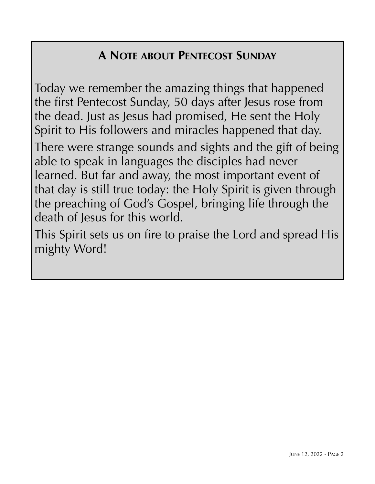## **A NOTE ABOUT PENTECOST SUNDAY**

Today we remember the amazing things that happened the first Pentecost Sunday, 50 days after Jesus rose from the dead. Just as Jesus had promised, He sent the Holy Spirit to His followers and miracles happened that day. There were strange sounds and sights and the gift of being

able to speak in languages the disciples had never learned. But far and away, the most important event of that day is still true today: the Holy Spirit is given through the preaching of God's Gospel, bringing life through the death of Jesus for this world.

This Spirit sets us on fire to praise the Lord and spread His mighty Word!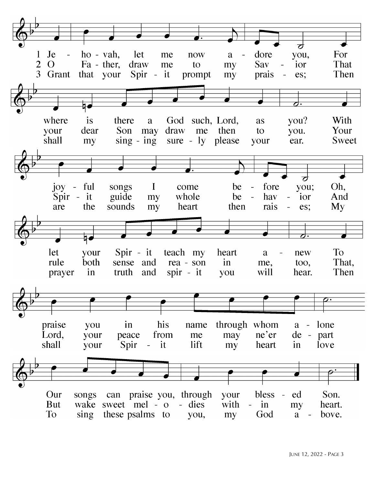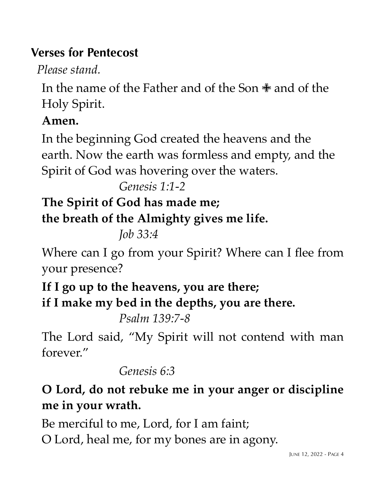## **Verses for Pentecost**

 *Please stand.*

In the name of the Father and of the Son ✙ and of the Holy Spirit.

#### **Amen.**

In the beginning God created the heavens and the earth. Now the earth was formless and empty, and the Spirit of God was hovering over the waters.

*Genesis 1:1-2* 

## **The Spirit of God has made me;**

**the breath of the Almighty gives me life.** 

*Job 33:4*

Where can I go from your Spirit? Where can I flee from your presence?

**If I go up to the heavens, you are there; if I make my bed in the depths, you are there.** 

*Psalm 139:7-8*

The Lord said, "My Spirit will not contend with man forever."

#### *Genesis 6:3*

# **O Lord, do not rebuke me in your anger or discipline me in your wrath.**

Be merciful to me, Lord, for I am faint; O Lord, heal me, for my bones are in agony.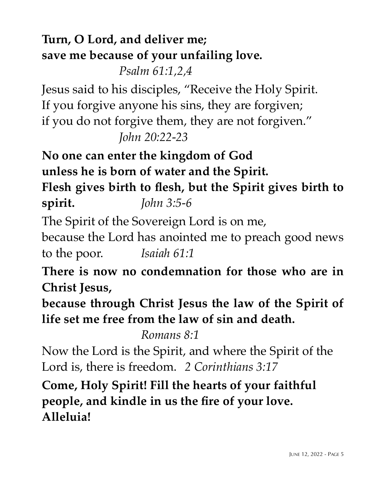# **Turn, O Lord, and deliver me; save me because of your unfailing love.**

*Psalm 61:1,2,4*

Jesus said to his disciples, "Receive the Holy Spirit. If you forgive anyone his sins, they are forgiven; if you do not forgive them, they are not forgiven." *John 20:22-23*

**No one can enter the kingdom of God unless he is born of water and the Spirit. Flesh gives birth to flesh, but the Spirit gives birth to spirit.** *John 3:5-6*

The Spirit of the Sovereign Lord is on me, because the Lord has anointed me to preach good news to the poor.*Isaiah 61:1*

**There is now no condemnation for those who are in Christ Jesus,** 

**because through Christ Jesus the law of the Spirit of life set me free from the law of sin and death.** 

*Romans 8:1*

Now the Lord is the Spirit, and where the Spirit of the Lord is, there is freedom. *2 Corinthians 3:17*

**Come, Holy Spirit! Fill the hearts of your faithful people, and kindle in us the fire of your love. Alleluia!**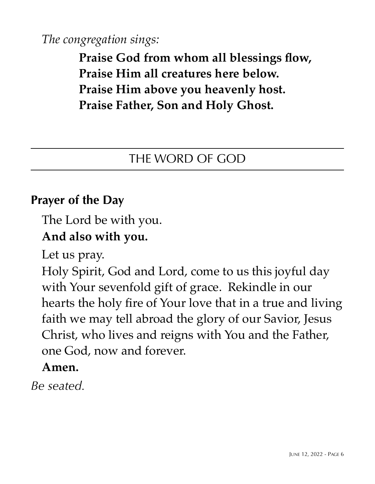*The congregation sings:*

**Praise God from whom all blessings flow, Praise Him all creatures here below. Praise Him above you heavenly host. Praise Father, Son and Holy Ghost.**

#### THE WORD OF GOD

#### **Prayer of the Day**

The Lord be with you.

#### **And also with you.**

Let us pray.

Holy Spirit, God and Lord, come to us this joyful day with Your sevenfold gift of grace. Rekindle in our hearts the holy fire of Your love that in a true and living faith we may tell abroad the glory of our Savior, Jesus Christ, who lives and reigns with You and the Father, one God, now and forever.

#### **Amen.**

*Be seated.*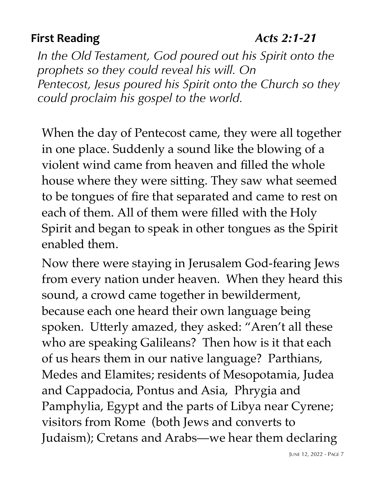## **First Reading** *Acts 2:1-21*

*In the Old Testament, God poured out his Spirit onto the prophets so they could reveal his will. On Pentecost, Jesus poured his Spirit onto the Church so they could proclaim his gospel to the world.*

When the day of Pentecost came, they were all together in one place. Suddenly a sound like the blowing of a violent wind came from heaven and filled the whole house where they were sitting. They saw what seemed to be tongues of fire that separated and came to rest on each of them. All of them were filled with the Holy Spirit and began to speak in other tongues as the Spirit enabled them.

Now there were staying in Jerusalem God-fearing Jews from every nation under heaven. When they heard this sound, a crowd came together in bewilderment, because each one heard their own language being spoken. Utterly amazed, they asked: "Aren't all these who are speaking Galileans? Then how is it that each of us hears them in our native language? Parthians, Medes and Elamites; residents of Mesopotamia, Judea and Cappadocia, Pontus and Asia, Phrygia and Pamphylia, Egypt and the parts of Libya near Cyrene; visitors from Rome (both Jews and converts to Judaism); Cretans and Arabs—we hear them declaring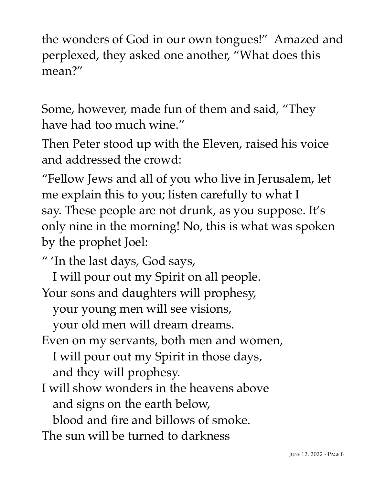the wonders of God in our own tongues!" Amazed and perplexed, they asked one another, "What does this mean?"

Some, however, made fun of them and said, "They have had too much wine."

Then Peter stood up with the Eleven, raised his voice and addressed the crowd:

"Fellow Jews and all of you who live in Jerusalem, let me explain this to you; listen carefully to what I say. These people are not drunk, as you suppose. It's only nine in the morning! No, this is what was spoken by the prophet Joel:

" 'In the last days, God says,

I will pour out my Spirit on all people. Your sons and daughters will prophesy,

your young men will see visions,

your old men will dream dreams.

Even on my servants, both men and women,

I will pour out my Spirit in those days, and they will prophesy.

I will show wonders in the heavens above and signs on the earth below,

blood and fire and billows of smoke.

The sun will be turned to darkness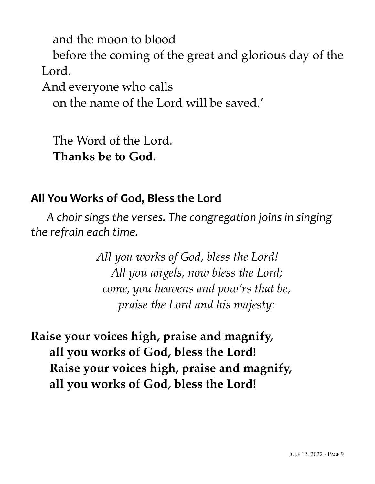and the moon to blood

before the coming of the great and glorious day of the Lord.

And everyone who calls

on the name of the Lord will be saved.'

The Word of the Lord. **Thanks be to God.**

#### **All You Works of God, Bless the Lord**

A choir sings the verses. The congregation joins in singing the refrain each time.

> *All you works of God, bless the Lord! All you angels, now bless the Lord; come, you heavens and pow'rs that be, praise the Lord and his majesty:*

**Raise your voices high, praise and magnify, all you works of God, bless the Lord! Raise your voices high, praise and magnify, all you works of God, bless the Lord!**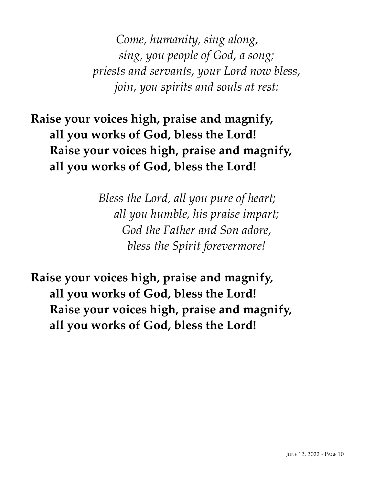*Come, humanity, sing along, sing, you people of God, a song; priests and servants, your Lord now bless, join, you spirits and souls at rest:*

**Raise your voices high, praise and magnify, all you works of God, bless the Lord! Raise your voices high, praise and magnify, all you works of God, bless the Lord!**

> *Bless the Lord, all you pure of heart; all you humble, his praise impart; God the Father and Son adore, bless the Spirit forevermore!*

**Raise your voices high, praise and magnify, all you works of God, bless the Lord! Raise your voices high, praise and magnify, all you works of God, bless the Lord!**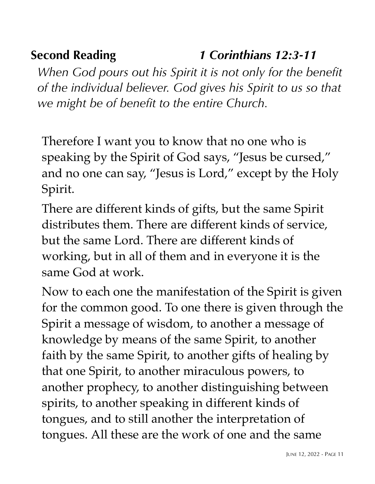# **Second Reading** *1 Corinthians 12:3-11*

*When God pours out his Spirit it is not only for the benefit of the individual believer. God gives his Spirit to us so that we might be of benefit to the entire Church.*

Therefore I want you to know that no one who is speaking by the Spirit of God says, "Jesus be cursed," and no one can say, "Jesus is Lord," except by the Holy Spirit.

There are different kinds of gifts, but the same Spirit distributes them. There are different kinds of service, but the same Lord. There are different kinds of working, but in all of them and in everyone it is the same God at work.

Now to each one the manifestation of the Spirit is given for the common good. To one there is given through the Spirit a message of wisdom, to another a message of knowledge by means of the same Spirit, to another faith by the same Spirit, to another gifts of healing by that one Spirit, to another miraculous powers, to another prophecy, to another distinguishing between spirits, to another speaking in different kinds of tongues, and to still another the interpretation of tongues. All these are the work of one and the same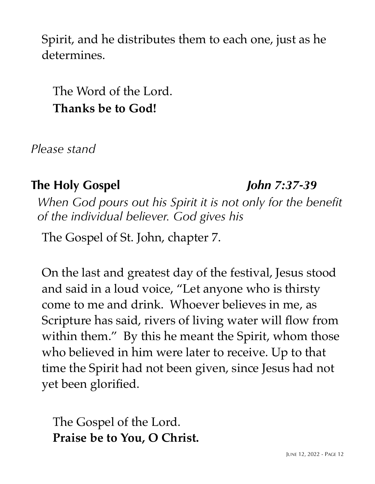Spirit, and he distributes them to each one, just as he determines.

The Word of the Lord. **Thanks be to God!**

*Please stand*

## **The Holy Gospel** *John 7:37-39*

*When God pours out his Spirit it is not only for the benefit of the individual believer. God gives his*

The Gospel of St. John, chapter 7.

On the last and greatest day of the festival, Jesus stood and said in a loud voice, "Let anyone who is thirsty come to me and drink. Whoever believes in me, as Scripture has said, rivers of living water will flow from within them." By this he meant the Spirit, whom those who believed in him were later to receive. Up to that time the Spirit had not been given, since Jesus had not yet been glorified.

The Gospel of the Lord. **Praise be to You, O Christ.**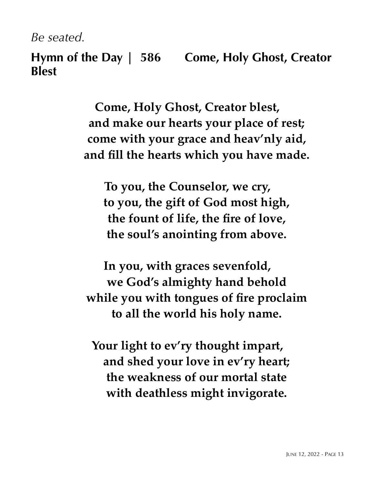*Be seated.*

**Hymn of the Day | 586 Come, Holy Ghost, Creator Blest**

> **Come, Holy Ghost, Creator blest, and make our hearts your place of rest; come with your grace and heav'nly aid, and fill the hearts which you have made.**

**To you, the Counselor, we cry, to you, the gift of God most high, the fount of life, the fire of love, the soul's anointing from above.**

**In you, with graces sevenfold, we God's almighty hand behold while you with tongues of fire proclaim to all the world his holy name.**

**Your light to ev'ry thought impart, and shed your love in ev'ry heart; the weakness of our mortal state with deathless might invigorate.**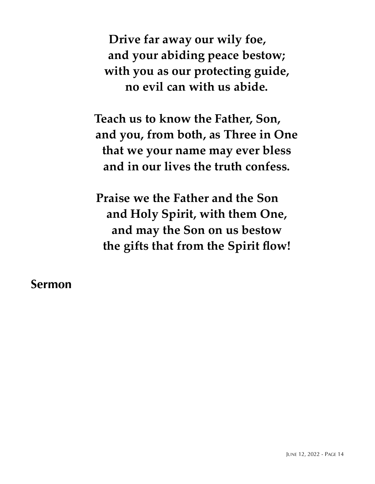**Drive far away our wily foe, and your abiding peace bestow; with you as our protecting guide, no evil can with us abide.**

**Teach us to know the Father, Son, and you, from both, as Three in One that we your name may ever bless and in our lives the truth confess.**

**Praise we the Father and the Son and Holy Spirit, with them One, and may the Son on us bestow the gifts that from the Spirit flow!**

**Sermon**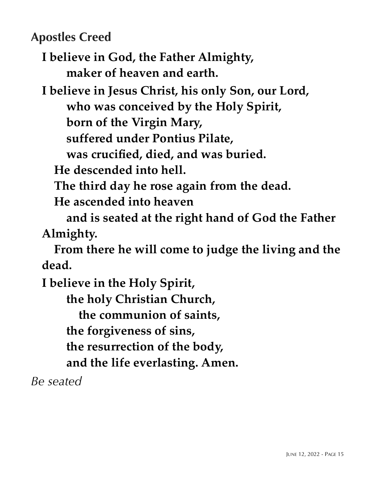**Apostles Creed**

**I believe in God, the Father Almighty, maker of heaven and earth.**

**I believe in Jesus Christ, his only Son, our Lord, who was conceived by the Holy Spirit, born of the Virgin Mary, suffered under Pontius Pilate,**

 **was crucified, died, and was buried.**

 **He descended into hell.**

 **The third day he rose again from the dead.** 

 **He ascended into heaven**

 **and is seated at the right hand of God the Father Almighty.** 

 **From there he will come to judge the living and the dead.**

**I believe in the Holy Spirit,**

 **the holy Christian Church,**

 **the communion of saints,** 

 **the forgiveness of sins,**

 **the resurrection of the body,** 

 **and the life everlasting. Amen.**

*Be seated*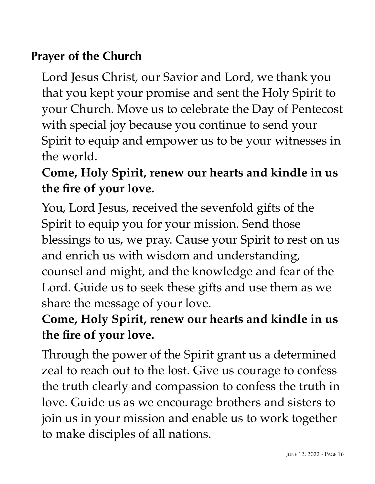## **Prayer of the Church**

Lord Jesus Christ, our Savior and Lord, we thank you that you kept your promise and sent the Holy Spirit to your Church. Move us to celebrate the Day of Pentecost with special joy because you continue to send your Spirit to equip and empower us to be your witnesses in the world.

# **Come, Holy Spirit, renew our hearts and kindle in us the fire of your love.**

You, Lord Jesus, received the sevenfold gifts of the Spirit to equip you for your mission. Send those blessings to us, we pray. Cause your Spirit to rest on us and enrich us with wisdom and understanding, counsel and might, and the knowledge and fear of the Lord. Guide us to seek these gifts and use them as we share the message of your love.

# **Come, Holy Spirit, renew our hearts and kindle in us the fire of your love.**

Through the power of the Spirit grant us a determined zeal to reach out to the lost. Give us courage to confess the truth clearly and compassion to confess the truth in love. Guide us as we encourage brothers and sisters to join us in your mission and enable us to work together to make disciples of all nations.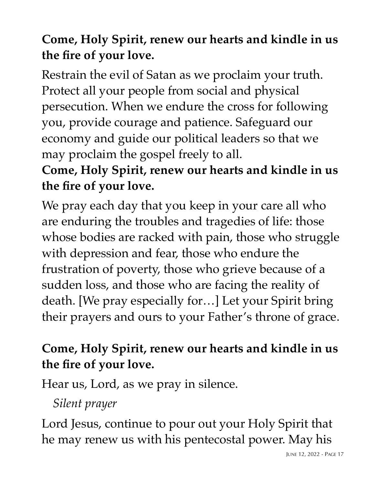# **Come, Holy Spirit, renew our hearts and kindle in us the fire of your love.**

Restrain the evil of Satan as we proclaim your truth. Protect all your people from social and physical persecution. When we endure the cross for following you, provide courage and patience. Safeguard our economy and guide our political leaders so that we may proclaim the gospel freely to all.

# **Come, Holy Spirit, renew our hearts and kindle in us the fire of your love.**

We pray each day that you keep in your care all who are enduring the troubles and tragedies of life: those whose bodies are racked with pain, those who struggle with depression and fear, those who endure the frustration of poverty, those who grieve because of a sudden loss, and those who are facing the reality of death. [We pray especially for…] Let your Spirit bring their prayers and ours to your Father's throne of grace.

# **Come, Holy Spirit, renew our hearts and kindle in us the fire of your love.**

Hear us, Lord, as we pray in silence.

## *Silent prayer*

Lord Jesus, continue to pour out your Holy Spirit that he may renew us with his pentecostal power. May his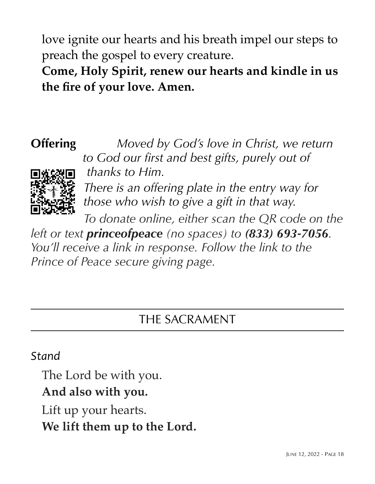love ignite our hearts and his breath impel our steps to preach the gospel to every creature.

**Come, Holy Spirit, renew our hearts and kindle in us the fire of your love. Amen.**



**Offering** *Moved by God's love in Christ, we return to God our first and best gifts, purely out of thanks to Him. There is an offering plate in the entry way for those who wish to give a gift in that way.* 

*To donate online, either scan the QR code on the* 

*left or text princeofpeace (no spaces) to (833) 693-7056. You'll receive a link in response. Follow the link to the Prince of Peace secure giving page.*

## THE SACRAMENT

#### *Stand*

The Lord be with you.

## **And also with you.**

Lift up your hearts. **We lift them up to the Lord.**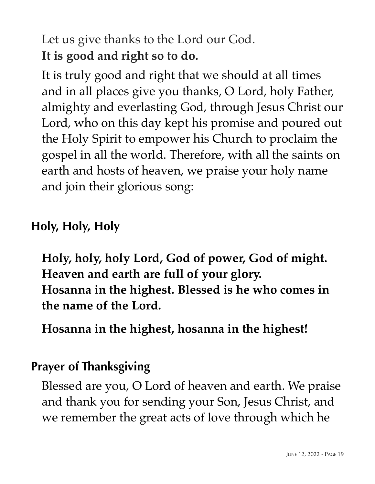Let us give thanks to the Lord our God. **It is good and right so to do.**

It is truly good and right that we should at all times and in all places give you thanks, O Lord, holy Father, almighty and everlasting God, through Jesus Christ our Lord, who on this day kept his promise and poured out the Holy Spirit to empower his Church to proclaim the gospel in all the world. Therefore, with all the saints on earth and hosts of heaven, we praise your holy name and join their glorious song:

# **Holy, Holy, Holy**

**Holy, holy, holy Lord, God of power, God of might. Heaven and earth are full of your glory. Hosanna in the highest. Blessed is he who comes in the name of the Lord.** 

**Hosanna in the highest, hosanna in the highest!**

## **Prayer of Thanksgiving**

Blessed are you, O Lord of heaven and earth. We praise and thank you for sending your Son, Jesus Christ, and we remember the great acts of love through which he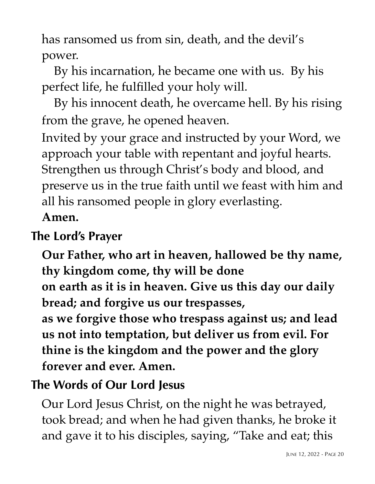has ransomed us from sin, death, and the devil's power.

 By his incarnation, he became one with us. By his perfect life, he fulfilled your holy will.

 By his innocent death, he overcame hell. By his rising from the grave, he opened heaven.

Invited by your grace and instructed by your Word, we approach your table with repentant and joyful hearts. Strengthen us through Christ's body and blood, and preserve us in the true faith until we feast with him and all his ransomed people in glory everlasting.

#### **Amen.**

## **The Lord's Prayer**

**Our Father, who art in heaven, hallowed be thy name, thy kingdom come, thy will be done on earth as it is in heaven. Give us this day our daily bread; and forgive us our trespasses, as we forgive those who trespass against us; and lead us not into temptation, but deliver us from evil. For thine is the kingdom and the power and the glory forever and ever. Amen.**

# **The Words of Our Lord Jesus**

Our Lord Jesus Christ, on the night he was betrayed, took bread; and when he had given thanks, he broke it and gave it to his disciples, saying, "Take and eat; this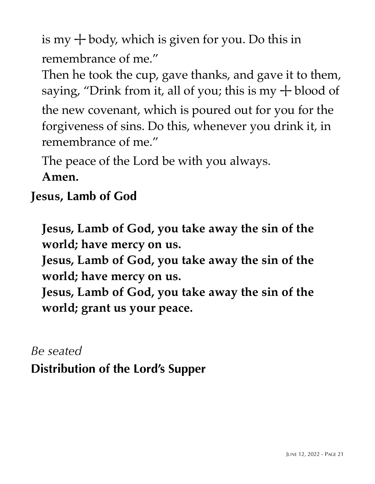is my  $+$  body, which is given for you. Do this in remembrance of me."

Then he took the cup, gave thanks, and gave it to them, saying, "Drink from it, all of you; this is my  $+$  blood of

the new covenant, which is poured out for you for the forgiveness of sins. Do this, whenever you drink it, in remembrance of me."

The peace of the Lord be with you always. **Amen.**

# **Jesus, Lamb of God**

**Jesus, Lamb of God, you take away the sin of the world; have mercy on us.**

**Jesus, Lamb of God, you take away the sin of the world; have mercy on us.** 

**Jesus, Lamb of God, you take away the sin of the world; grant us your peace.**

# *Be seated* **Distribution of the Lord's Supper**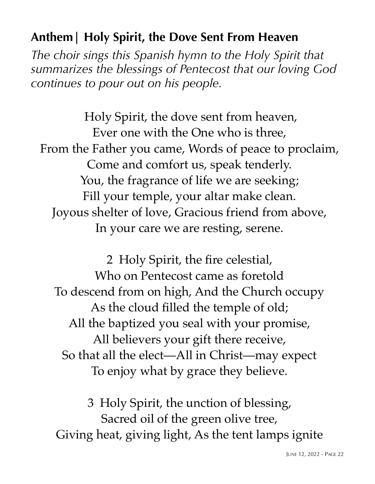## **Anthem| Holy Spirit, the Dove Sent From Heaven**

*The choir sings this Spanish hymn to the Holy Spirit that summarizes the blessings of Pentecost that our loving God continues to pour out on his people.*

 Holy Spirit, the dove sent from heaven, Ever one with the One who is three, From the Father you came, Words of peace to proclaim, Come and comfort us, speak tenderly. You, the fragrance of life we are seeking; Fill your temple, your altar make clean. Joyous shelter of love, Gracious friend from above, In your care we are resting, serene.

2 Holy Spirit, the fire celestial, Who on Pentecost came as foretold To descend from on high, And the Church occupy As the cloud filled the temple of old; All the baptized you seal with your promise, All believers your gift there receive, So that all the elect—All in Christ—may expect To enjoy what by grace they believe.

3 Holy Spirit, the unction of blessing, Sacred oil of the green olive tree, Giving heat, giving light, As the tent lamps ignite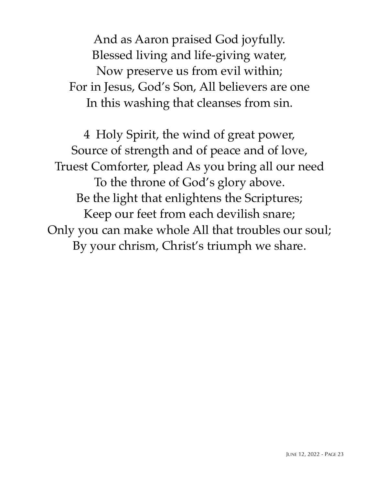And as Aaron praised God joyfully. Blessed living and life-giving water, Now preserve us from evil within; For in Jesus, God's Son, All believers are one In this washing that cleanses from sin.

4 Holy Spirit, the wind of great power, Source of strength and of peace and of love, Truest Comforter, plead As you bring all our need To the throne of God's glory above. Be the light that enlightens the Scriptures; Keep our feet from each devilish snare; Only you can make whole All that troubles our soul; By your chrism, Christ's triumph we share.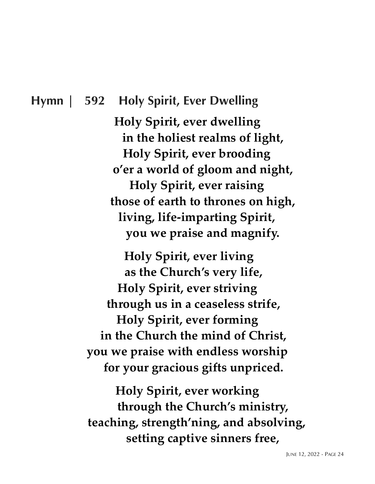#### **Hymn | 592 Holy Spirit, Ever Dwelling**

**Holy Spirit, ever dwelling in the holiest realms of light, Holy Spirit, ever brooding o'er a world of gloom and night, Holy Spirit, ever raising those of earth to thrones on high, living, life-imparting Spirit, you we praise and magnify.**

**Holy Spirit, ever living as the Church's very life, Holy Spirit, ever striving through us in a ceaseless strife, Holy Spirit, ever forming in the Church the mind of Christ, you we praise with endless worship for your gracious gifts unpriced.**

**Holy Spirit, ever working through the Church's ministry, teaching, strength'ning, and absolving, setting captive sinners free,**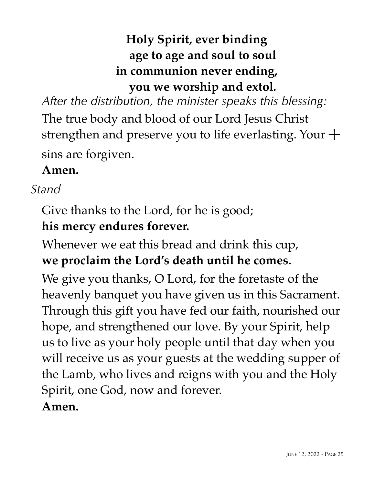# **Holy Spirit, ever binding age to age and soul to soul in communion never ending, you we worship and extol.**

*After the distribution, the minister speaks this blessing:*

The true body and blood of our Lord Jesus Christ strengthen and preserve you to life everlasting. Your  $+$ sins are forgiven.

## **Amen.**

## *Stand*

Give thanks to the Lord, for he is good; **his mercy endures forever.**

Whenever we eat this bread and drink this cup, **we proclaim the Lord's death until he comes.**

We give you thanks, O Lord, for the foretaste of the heavenly banquet you have given us in this Sacrament. Through this gift you have fed our faith, nourished our hope, and strengthened our love. By your Spirit, help us to live as your holy people until that day when you will receive us as your guests at the wedding supper of the Lamb, who lives and reigns with you and the Holy Spirit, one God, now and forever. **Amen.**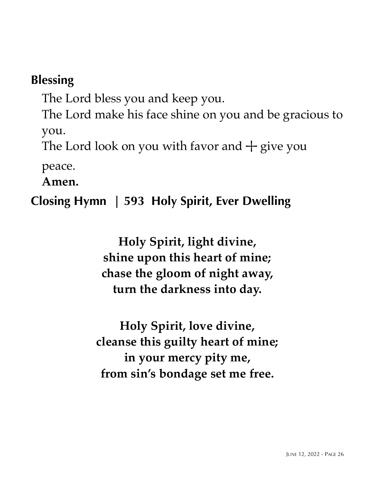## **Blessing**

The Lord bless you and keep you.

The Lord make his face shine on you and be gracious to you.

The Lord look on you with favor and  $+$  give you

peace.

**Amen.**

## **Closing Hymn | 593 Holy Spirit, Ever Dwelling**

**Holy Spirit, light divine, shine upon this heart of mine; chase the gloom of night away, turn the darkness into day.**

**Holy Spirit, love divine, cleanse this guilty heart of mine; in your mercy pity me, from sin's bondage set me free.**